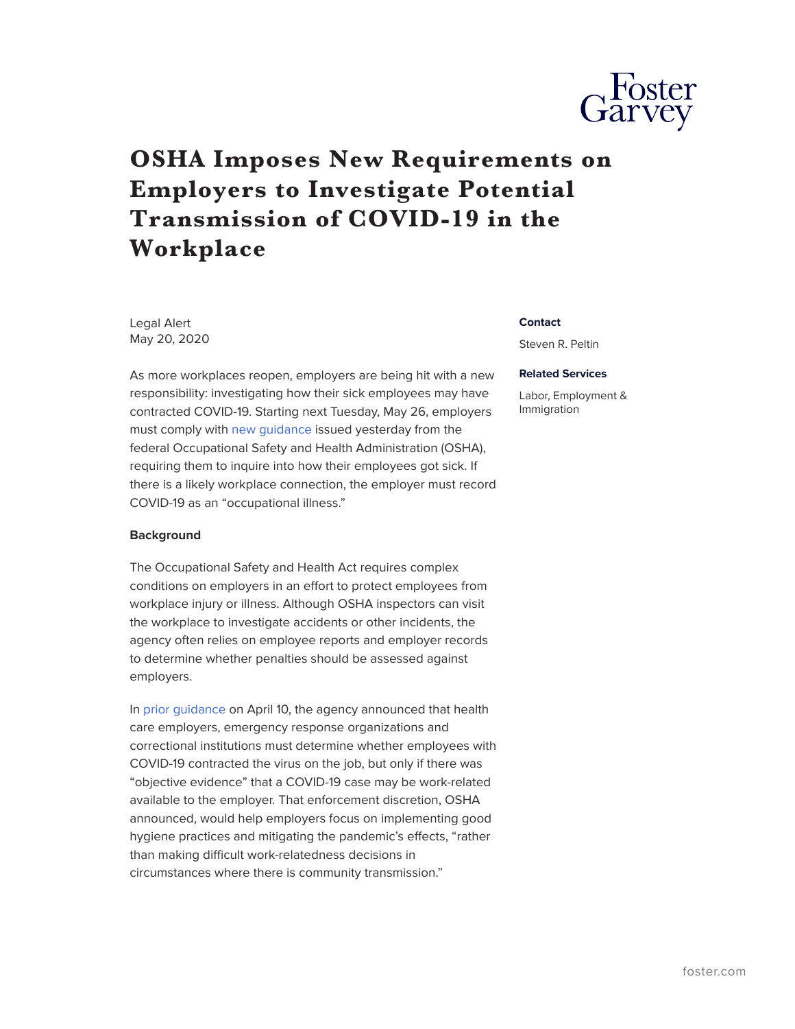

# **OSHA Imposes New Requirements on Employers to Investigate Potential Transmission of COVID-19 in the Workplace**

Legal Alert May 20, 2020

As more workplaces reopen, employers are being hit with a new responsibility: investigating how their sick employees may have contracted COVID-19. Starting next Tuesday, May 26, employers must comply with [new guidance](https://www.osha.gov/memos/2020-05-19/revised-enforcement-guidance-recording-cases-coronavirus-disease-2019-covid-19) issued yesterday from the federal Occupational Safety and Health Administration (OSHA), requiring them to inquire into how their employees got sick. If there is a likely workplace connection, the employer must record COVID-19 as an "occupational illness."

## **Background**

The Occupational Safety and Health Act requires complex conditions on employers in an effort to protect employees from workplace injury or illness. Although OSHA inspectors can visit the workplace to investigate accidents or other incidents, the agency often relies on employee reports and employer records to determine whether penalties should be assessed against employers.

In [prior guidance](https://www.osha.gov/memos/2020-04-10/enforcement-guidance-recording-cases-coronavirus-disease-2019-covid-19) on April 10, the agency announced that health care employers, emergency response organizations and correctional institutions must determine whether employees with COVID-19 contracted the virus on the job, but only if there was "objective evidence" that a COVID-19 case may be work-related available to the employer. That enforcement discretion, OSHA announced, would help employers focus on implementing good hygiene practices and mitigating the pandemic's effects, "rather than making difficult work-relatedness decisions in circumstances where there is community transmission."

#### **Contact**

Steven R. Peltin

### **Related Services**

Labor, Employment & Immigration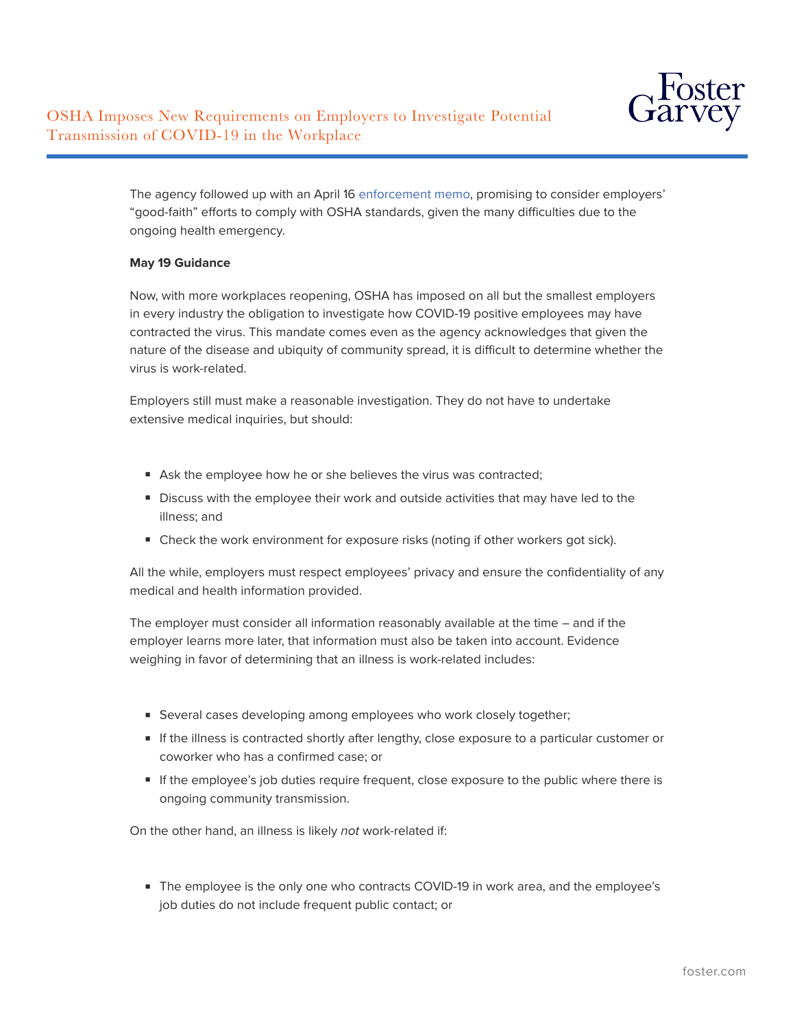

The agency followed up with an April 16 [enforcement memo](https://www.osha.gov/memos/2020-04-16/discretion-enforcement-when-considering-employers-good-faith-efforts-during), promising to consider employers' "good-faith" efforts to comply with OSHA standards, given the many difficulties due to the ongoing health emergency.

## **May 19 Guidance**

Now, with more workplaces reopening, OSHA has imposed on all but the smallest employers in every industry the obligation to investigate how COVID-19 positive employees may have contracted the virus. This mandate comes even as the agency acknowledges that given the nature of the disease and ubiquity of community spread, it is difficult to determine whether the virus is work-related.

Employers still must make a reasonable investigation. They do not have to undertake extensive medical inquiries, but should:

- Ask the employee how he or she believes the virus was contracted;
- Discuss with the employee their work and outside activities that may have led to the illness; and
- Check the work environment for exposure risks (noting if other workers got sick).

All the while, employers must respect employees' privacy and ensure the confidentiality of any medical and health information provided.

The employer must consider all information reasonably available at the time – and if the employer learns more later, that information must also be taken into account. Evidence weighing in favor of determining that an illness is work-related includes:

- Several cases developing among employees who work closely together;
- If the illness is contracted shortly after lengthy, close exposure to a particular customer or coworker who has a confirmed case; or
- If the employee's job duties require frequent, close exposure to the public where there is ongoing community transmission.

On the other hand, an illness is likely *not* work-related if:

■ The employee is the only one who contracts COVID-19 in work area, and the employee's job duties do not include frequent public contact; or